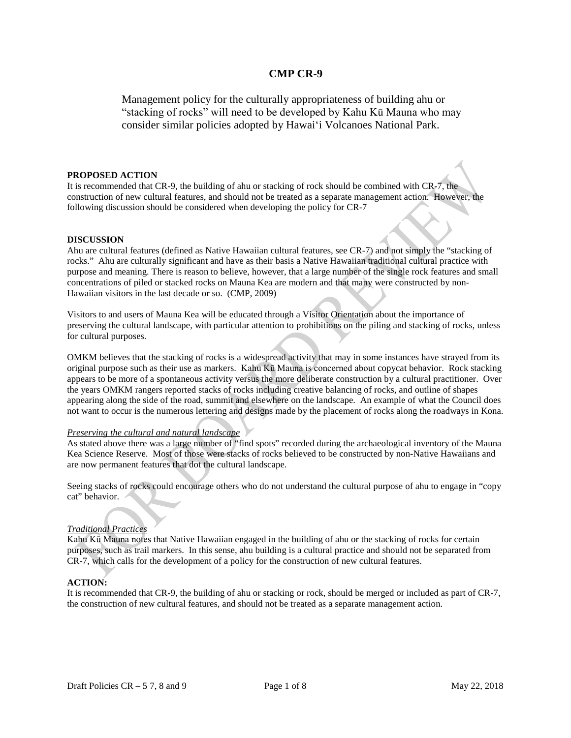Management policy for the culturally appropriateness of building ahu or "stacking of rocks" will need to be developed by Kahu Kū Mauna who may consider similar policies adopted by Hawaiʻi Volcanoes National Park.

### **PROPOSED ACTION**

It is recommended that CR-9, the building of ahu or stacking of rock should be combined with CR-7, the construction of new cultural features, and should not be treated as a separate management action. However, the following discussion should be considered when developing the policy for CR-7

#### **DISCUSSION**

Ahu are cultural features (defined as Native Hawaiian cultural features, see CR-7) and not simply the "stacking of rocks." Ahu are culturally significant and have as their basis a Native Hawaiian traditional cultural practice with purpose and meaning. There is reason to believe, however, that a large number of the single rock features and small concentrations of piled or stacked rocks on Mauna Kea are modern and that many were constructed by non-Hawaiian visitors in the last decade or so. (CMP, 2009)

Visitors to and users of Mauna Kea will be educated through a Visitor Orientation about the importance of preserving the cultural landscape, with particular attention to prohibitions on the piling and stacking of rocks, unless for cultural purposes.

OMKM believes that the stacking of rocks is a widespread activity that may in some instances have strayed from its original purpose such as their use as markers. Kahu Kū Mauna is concerned about copycat behavior. Rock stacking appears to be more of a spontaneous activity versus the more deliberate construction by a cultural practitioner. Over the years OMKM rangers reported stacks of rocks including creative balancing of rocks, and outline of shapes appearing along the side of the road, summit and elsewhere on the landscape. An example of what the Council does not want to occur is the numerous lettering and designs made by the placement of rocks along the roadways in Kona.

### *Preserving the cultural and natural landscape*

As stated above there was a large number of "find spots" recorded during the archaeological inventory of the Mauna Kea Science Reserve. Most of those were stacks of rocks believed to be constructed by non-Native Hawaiians and are now permanent features that dot the cultural landscape.

Seeing stacks of rocks could encourage others who do not understand the cultural purpose of ahu to engage in "copy cat" behavior.

### *Traditional Practices*

Kahu Kū Mauna notes that Native Hawaiian engaged in the building of ahu or the stacking of rocks for certain purposes, such as trail markers. In this sense, ahu building is a cultural practice and should not be separated from CR-7, which calls for the development of a policy for the construction of new cultural features.

### **ACTION:**

It is recommended that CR-9, the building of ahu or stacking or rock, should be merged or included as part of CR-7, the construction of new cultural features, and should not be treated as a separate management action.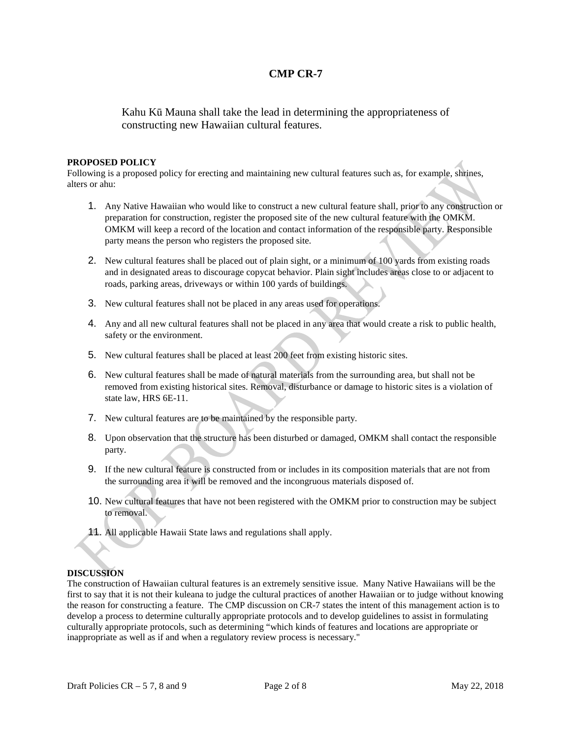Kahu Kū Mauna shall take the lead in determining the appropriateness of constructing new Hawaiian cultural features.

### **PROPOSED POLICY**

Following is a proposed policy for erecting and maintaining new cultural features such as, for example, shrines, alters or ahu:

- 1. Any Native Hawaiian who would like to construct a new cultural feature shall, prior to any construction or preparation for construction, register the proposed site of the new cultural feature with the OMKM. OMKM will keep a record of the location and contact information of the responsible party. Responsible party means the person who registers the proposed site.
- 2. New cultural features shall be placed out of plain sight, or a minimum of 100 yards from existing roads and in designated areas to discourage copycat behavior. Plain sight includes areas close to or adjacent to roads, parking areas, driveways or within 100 yards of buildings.
- 3. New cultural features shall not be placed in any areas used for operations.
- 4. Any and all new cultural features shall not be placed in any area that would create a risk to public health, safety or the environment.
- 5. New cultural features shall be placed at least 200 feet from existing historic sites.
- 6. New cultural features shall be made of natural materials from the surrounding area, but shall not be removed from existing historical sites. Removal, disturbance or damage to historic sites is a violation of state law, HRS 6E-11.
- 7. New cultural features are to be maintained by the responsible party.
- 8. Upon observation that the structure has been disturbed or damaged, OMKM shall contact the responsible party.
- 9. If the new cultural feature is constructed from or includes in its composition materials that are not from the surrounding area it will be removed and the incongruous materials disposed of.
- 10. New cultural features that have not been registered with the OMKM prior to construction may be subject to removal.
- 11. All applicable Hawaii State laws and regulations shall apply.

# **DISCUSSION**

The construction of Hawaiian cultural features is an extremely sensitive issue. Many Native Hawaiians will be the first to say that it is not their kuleana to judge the cultural practices of another Hawaiian or to judge without knowing the reason for constructing a feature. The CMP discussion on CR-7 states the intent of this management action is to develop a process to determine culturally appropriate protocols and to develop guidelines to assist in formulating culturally appropriate protocols, such as determining "which kinds of features and locations are appropriate or inappropriate as well as if and when a regulatory review process is necessary."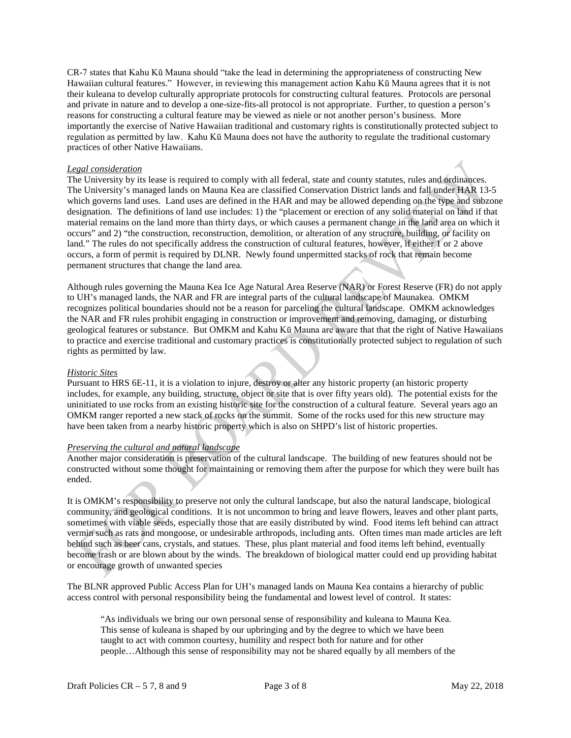CR-7 states that Kahu Kū Mauna should "take the lead in determining the appropriateness of constructing New Hawaiian cultural features." However, in reviewing this management action Kahu Kū Mauna agrees that it is not their kuleana to develop culturally appropriate protocols for constructing cultural features. Protocols are personal and private in nature and to develop a one-size-fits-all protocol is not appropriate. Further, to question a person's reasons for constructing a cultural feature may be viewed as niele or not another person's business. More importantly the exercise of Native Hawaiian traditional and customary rights is constitutionally protected subject to regulation as permitted by law. Kahu Kū Mauna does not have the authority to regulate the traditional customary practices of other Native Hawaiians.

## *Legal consideration*

The University by its lease is required to comply with all federal, state and county statutes, rules and ordinances. The University's managed lands on Mauna Kea are classified Conservation District lands and fall under HAR 13-5 which governs land uses. Land uses are defined in the HAR and may be allowed depending on the type and subzone designation. The definitions of land use includes: 1) the "placement or erection of any solid material on land if that material remains on the land more than thirty days, or which causes a permanent change in the land area on which it occurs" and 2) "the construction, reconstruction, demolition, or alteration of any structure, building, or facility on land." The rules do not specifically address the construction of cultural features, however, if either 1 or 2 above occurs, a form of permit is required by DLNR. Newly found unpermitted stacks of rock that remain become permanent structures that change the land area.

Although rules governing the Mauna Kea Ice Age Natural Area Reserve (NAR) or Forest Reserve (FR) do not apply to UH's managed lands, the NAR and FR are integral parts of the cultural landscape of Maunakea. OMKM recognizes political boundaries should not be a reason for parceling the cultural landscape. OMKM acknowledges the NAR and FR rules prohibit engaging in construction or improvement and removing, damaging, or disturbing geological features or substance. But OMKM and Kahu Kū Mauna are aware that that the right of Native Hawaiians to practice and exercise traditional and customary practices is constitutionally protected subject to regulation of such rights as permitted by law.

### *Historic Sites*

Pursuant to HRS 6E-11, it is a violation to injure, destroy or alter any historic property (an historic property includes, for example, any building, structure, object or site that is over fifty years old). The potential exists for the uninitiated to use rocks from an existing historic site for the construction of a cultural feature. Several years ago an OMKM ranger reported a new stack of rocks on the summit. Some of the rocks used for this new structure may have been taken from a nearby historic property which is also on SHPD's list of historic properties.

### *Preserving the cultural and natural landscape*

Another major consideration is preservation of the cultural landscape. The building of new features should not be constructed without some thought for maintaining or removing them after the purpose for which they were built has ended.

It is OMKM's responsibility to preserve not only the cultural landscape, but also the natural landscape, biological community, and geological conditions. It is not uncommon to bring and leave flowers, leaves and other plant parts, sometimes with viable seeds, especially those that are easily distributed by wind. Food items left behind can attract vermin such as rats and mongoose, or undesirable arthropods, including ants. Often times man made articles are left behind such as beer cans, crystals, and statues. These, plus plant material and food items left behind, eventually become trash or are blown about by the winds. The breakdown of biological matter could end up providing habitat or encourage growth of unwanted species

The BLNR approved Public Access Plan for UH's managed lands on Mauna Kea contains a hierarchy of public access control with personal responsibility being the fundamental and lowest level of control. It states:

"As individuals we bring our own personal sense of responsibility and kuleana to Mauna Kea. This sense of kuleana is shaped by our upbringing and by the degree to which we have been taught to act with common courtesy, humility and respect both for nature and for other people…Although this sense of responsibility may not be shared equally by all members of the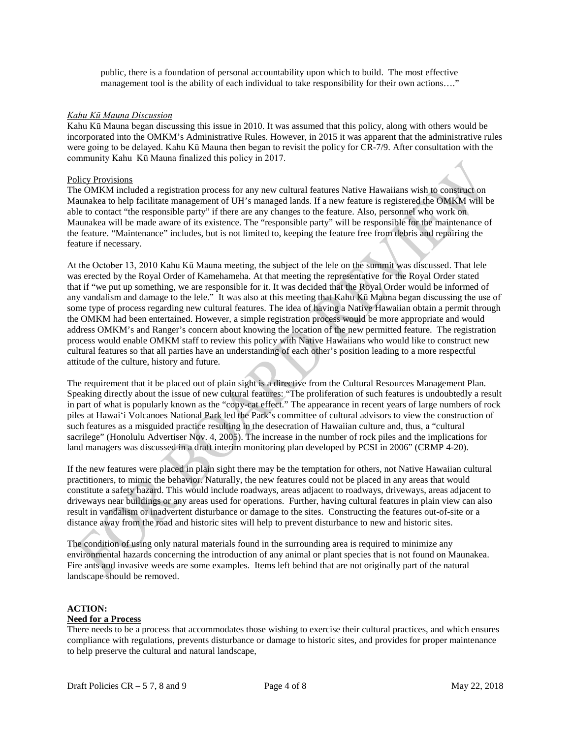public, there is a foundation of personal accountability upon which to build. The most effective management tool is the ability of each individual to take responsibility for their own actions…."

### *Kahu Kū Mauna Discussion*

Kahu Kū Mauna began discussing this issue in 2010. It was assumed that this policy, along with others would be incorporated into the OMKM's Administrative Rules. However, in 2015 it was apparent that the administrative rules were going to be delayed. Kahu Kū Mauna then began to revisit the policy for CR-7/9. After consultation with the community Kahu Kū Mauna finalized this policy in 2017.

### Policy Provisions

The OMKM included a registration process for any new cultural features Native Hawaiians wish to construct on Maunakea to help facilitate management of UH's managed lands. If a new feature is registered the OMKM will be able to contact "the responsible party" if there are any changes to the feature. Also, personnel who work on Maunakea will be made aware of its existence. The "responsible party" will be responsible for the maintenance of the feature. "Maintenance" includes, but is not limited to, keeping the feature free from debris and repairing the feature if necessary.

At the October 13, 2010 Kahu Kū Mauna meeting, the subject of the lele on the summit was discussed. That lele was erected by the Royal Order of Kamehameha. At that meeting the representative for the Royal Order stated that if "we put up something, we are responsible for it. It was decided that the Royal Order would be informed of any vandalism and damage to the lele." It was also at this meeting that Kahu Kū Mauna began discussing the use of some type of process regarding new cultural features. The idea of having a Native Hawaiian obtain a permit through the OMKM had been entertained. However, a simple registration process would be more appropriate and would address OMKM's and Ranger's concern about knowing the location of the new permitted feature. The registration process would enable OMKM staff to review this policy with Native Hawaiians who would like to construct new cultural features so that all parties have an understanding of each other's position leading to a more respectful attitude of the culture, history and future.

The requirement that it be placed out of plain sight is a directive from the Cultural Resources Management Plan. Speaking directly about the issue of new cultural features: "The proliferation of such features is undoubtedly a result in part of what is popularly known as the "copy-cat effect." The appearance in recent years of large numbers of rock piles at Hawaiʻi Volcanoes National Park led the Park's committee of cultural advisors to view the construction of such features as a misguided practice resulting in the desecration of Hawaiian culture and, thus, a "cultural sacrilege" (Honolulu Advertiser Nov. 4, 2005). The increase in the number of rock piles and the implications for land managers was discussed in a draft interim monitoring plan developed by PCSI in 2006" (CRMP 4-20).

If the new features were placed in plain sight there may be the temptation for others, not Native Hawaiian cultural practitioners, to mimic the behavior. Naturally, the new features could not be placed in any areas that would constitute a safety hazard. This would include roadways, areas adjacent to roadways, driveways, areas adjacent to driveways near buildings or any areas used for operations. Further, having cultural features in plain view can also result in vandalism or inadvertent disturbance or damage to the sites. Constructing the features out-of-site or a distance away from the road and historic sites will help to prevent disturbance to new and historic sites.

The condition of using only natural materials found in the surrounding area is required to minimize any environmental hazards concerning the introduction of any animal or plant species that is not found on Maunakea. Fire ants and invasive weeds are some examples. Items left behind that are not originally part of the natural landscape should be removed.

# **ACTION:**

### **Need for a Process**

There needs to be a process that accommodates those wishing to exercise their cultural practices, and which ensures compliance with regulations, prevents disturbance or damage to historic sites, and provides for proper maintenance to help preserve the cultural and natural landscape,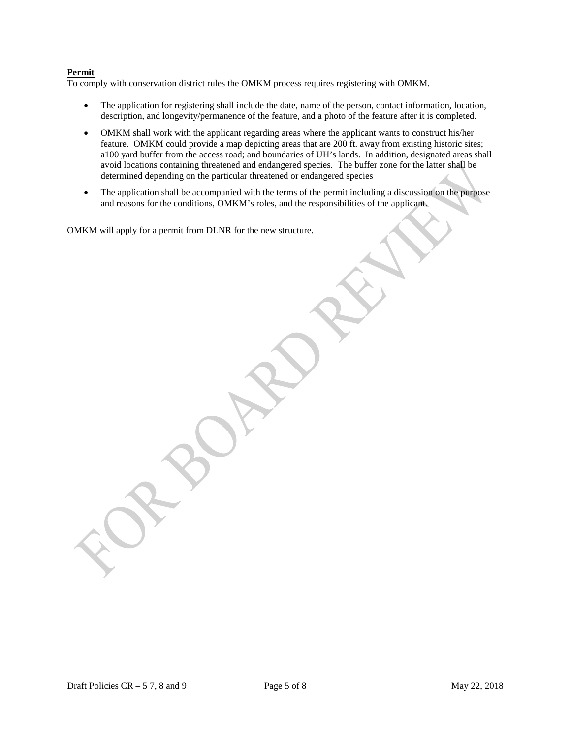# **Permit**

To comply with conservation district rules the OMKM process requires registering with OMKM.

- The application for registering shall include the date, name of the person, contact information, location, description, and longevity/permanence of the feature, and a photo of the feature after it is completed.
- OMKM shall work with the applicant regarding areas where the applicant wants to construct his/her feature. OMKM could provide a map depicting areas that are 200 ft. away from existing historic sites; a100 yard buffer from the access road; and boundaries of UH's lands. In addition, designated areas shall avoid locations containing threatened and endangered species. The buffer zone for the latter shall be determined depending on the particular threatened or endangered species
- The application shall be accompanied with the terms of the permit including a discussion on the purpose and reasons for the conditions, OMKM's roles, and the responsibilities of the applicant.

OMKM will apply for a permit from DLNR for the new structure.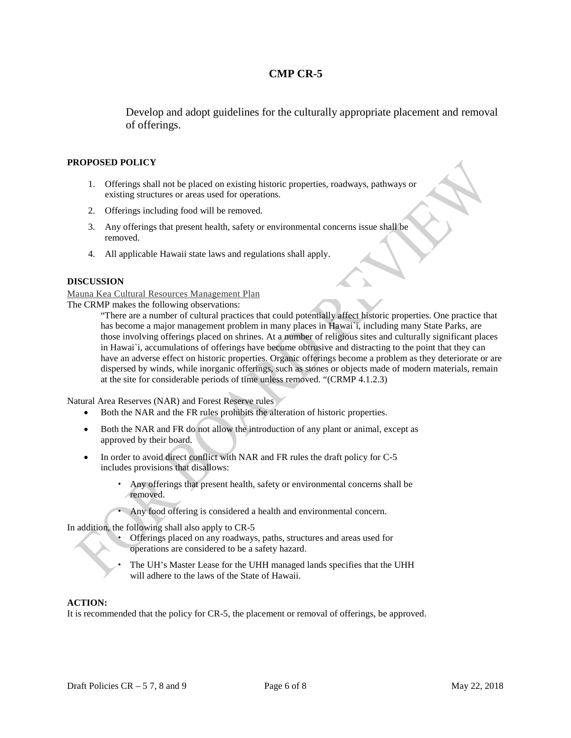Develop and adopt guidelines for the culturally appropriate placement and removal of offerings.

### **PROPOSED POLICY**

- 1. Offerings shall not be placed on existing historic properties, roadways, pathways or existing structures or areas used for operations.
- 2. Offerings including food will be removed.
- 3. Any offerings that present health, safety or environmental concerns issue shall be removed.
- 4. All applicable Hawaii state laws and regulations shall apply.

### **DISCUSSION**

Mauna Kea Cultural Resources Management Plan

The CRMP makes the following observations:

"There are a number of cultural practices that could potentially affect historic properties. One practice that has become a major management problem in many places in Hawai`i, including many State Parks, are those involving offerings placed on shrines. At a number of religious sites and culturally significant places in Hawai`i, accumulations of offerings have become obtrusive and distracting to the point that they can have an adverse effect on historic properties. Organic offerings become a problem as they deteriorate or are dispersed by winds, while inorganic offerings, such as stones or objects made of modern materials, remain at the site for considerable periods of time unless removed. "(CRMP 4.1.2.3)

Natural Area Reserves (NAR) and Forest Reserve rules

- Both the NAR and the FR rules prohibits the alteration of historic properties.
- Both the NAR and FR do not allow the introduction of any plant or animal, except as approved by their board.
- In order to avoid direct conflict with NAR and FR rules the draft policy for C-5 includes provisions that disallows:
	- Any offerings that present health, safety or environmental concerns shall be removed.
	- Any food offering is considered a health and environmental concern.

In addition, the following shall also apply to CR-5

- Offerings placed on any roadways, paths, structures and areas used for operations are considered to be a safety hazard.
- The UH's Master Lease for the UHH managed lands specifies that the UHH will adhere to the laws of the State of Hawaii.

### **ACTION:**

It is recommended that the policy for CR-5, the placement or removal of offerings, be approved.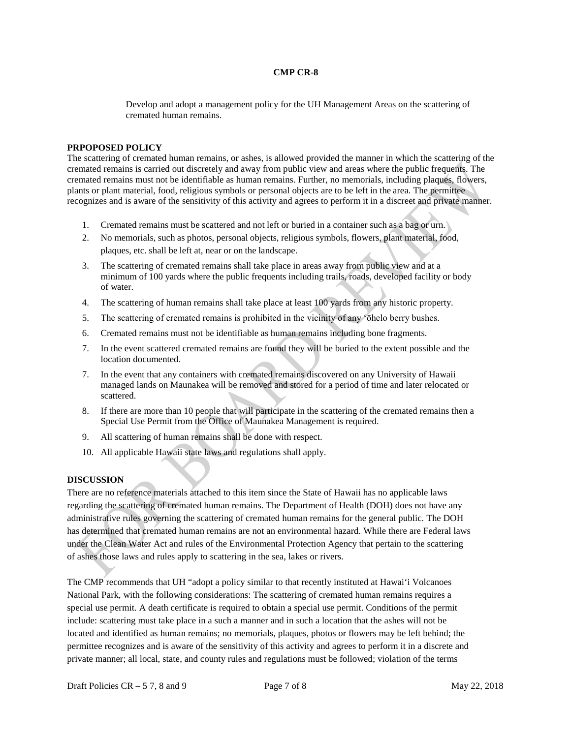Develop and adopt a management policy for the UH Management Areas on the scattering of cremated human remains.

#### **PRPOPOSED POLICY**

The scattering of cremated human remains, or ashes, is allowed provided the manner in which the scattering of the cremated remains is carried out discretely and away from public view and areas where the public frequents. The cremated remains must not be identifiable as human remains. Further, no memorials, including plaques, flowers, plants or plant material, food, religious symbols or personal objects are to be left in the area. The permittee recognizes and is aware of the sensitivity of this activity and agrees to perform it in a discreet and private manner.

- 1. Cremated remains must be scattered and not left or buried in a container such as a bag or urn.
- 2. No memorials, such as photos, personal objects, religious symbols, flowers, plant material, food, plaques, etc. shall be left at, near or on the landscape.
- 3. The scattering of cremated remains shall take place in areas away from public view and at a minimum of 100 yards where the public frequents including trails, roads, developed facility or body of water.
- 4. The scattering of human remains shall take place at least 100 yards from any historic property.
- 5. The scattering of cremated remains is prohibited in the vicinity of any ʻōhelo berry bushes.
- 6. Cremated remains must not be identifiable as human remains including bone fragments.
- 7. In the event scattered cremated remains are found they will be buried to the extent possible and the location documented.
- 7. In the event that any containers with cremated remains discovered on any University of Hawaii managed lands on Maunakea will be removed and stored for a period of time and later relocated or scattered.
- 8. If there are more than 10 people that will participate in the scattering of the cremated remains then a Special Use Permit from the Office of Maunakea Management is required.
- 9. All scattering of human remains shall be done with respect.
- 10. All applicable Hawaii state laws and regulations shall apply.

### **DISCUSSION**

There are no reference materials attached to this item since the State of Hawaii has no applicable laws regarding the scattering of cremated human remains. The Department of Health (DOH) does not have any administrative rules governing the scattering of cremated human remains for the general public. The DOH has determined that cremated human remains are not an environmental hazard. While there are Federal laws under the Clean Water Act and rules of the Environmental Protection Agency that pertain to the scattering of ashes those laws and rules apply to scattering in the sea, lakes or rivers.

The CMP recommends that UH "adopt a policy similar to that recently instituted at Hawai'i Volcanoes National Park, with the following considerations: The scattering of cremated human remains requires a special use permit. A death certificate is required to obtain a special use permit. Conditions of the permit include: scattering must take place in a such a manner and in such a location that the ashes will not be located and identified as human remains; no memorials, plaques, photos or flowers may be left behind; the permittee recognizes and is aware of the sensitivity of this activity and agrees to perform it in a discrete and private manner; all local, state, and county rules and regulations must be followed; violation of the terms